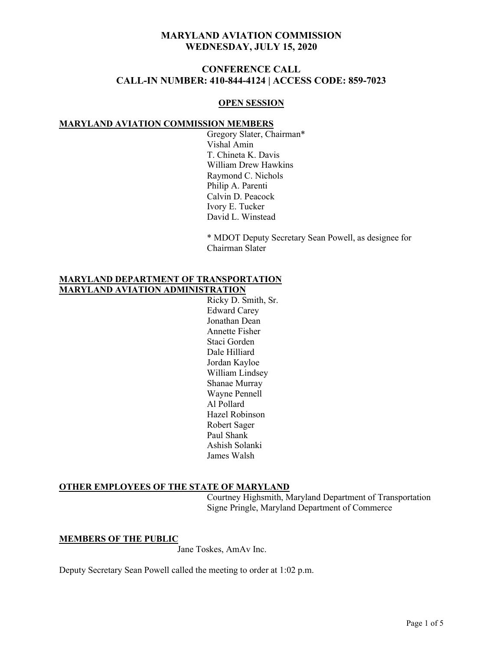# **CONFERENCE CALL CALL-IN NUMBER: 410-844-4124 | ACCESS CODE: 859-7023**

#### **OPEN SESSION**

#### **MARYLAND AVIATION COMMISSION MEMBERS**

Gregory Slater, Chairman\* Vishal Amin T. Chineta K. Davis William Drew Hawkins Raymond C. Nichols Philip A. Parenti Calvin D. Peacock Ivory E. Tucker David L. Winstead

\* MDOT Deputy Secretary Sean Powell, as designee for Chairman Slater

### **MARYLAND DEPARTMENT OF TRANSPORTATION MARYLAND AVIATION ADMINISTRATION**

Ricky D. Smith, Sr. Edward Carey Jonathan Dean Annette Fisher Staci Gorden Dale Hilliard Jordan Kayloe William Lindsey Shanae Murray Wayne Pennell Al Pollard Hazel Robinson Robert Sager Paul Shank Ashish Solanki James Walsh

### **OTHER EMPLOYEES OF THE STATE OF MARYLAND**

Courtney Highsmith, Maryland Department of Transportation Signe Pringle, Maryland Department of Commerce

**MEMBERS OF THE PUBLIC**

Jane Toskes, AmAv Inc.

Deputy Secretary Sean Powell called the meeting to order at 1:02 p.m.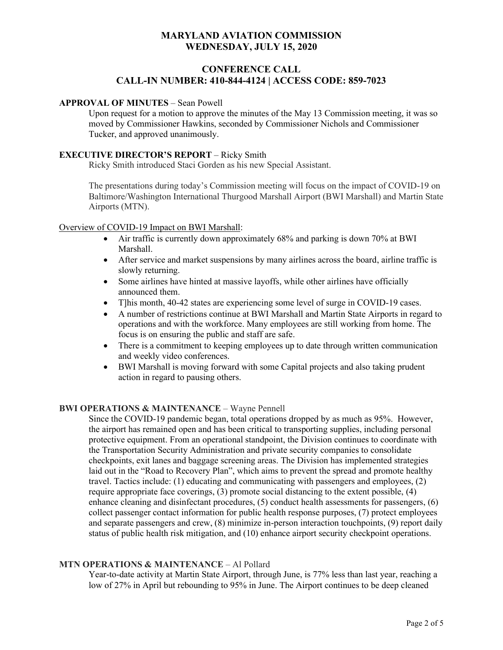# **CONFERENCE CALL CALL-IN NUMBER: 410-844-4124 | ACCESS CODE: 859-7023**

#### **APPROVAL OF MINUTES** – Sean Powell

Upon request for a motion to approve the minutes of the May 13 Commission meeting, it was so moved by Commissioner Hawkins, seconded by Commissioner Nichols and Commissioner Tucker, and approved unanimously.

#### **EXECUTIVE DIRECTOR'S REPORT** – Ricky Smith

Ricky Smith introduced Staci Gorden as his new Special Assistant.

The presentations during today's Commission meeting will focus on the impact of COVID-19 on Baltimore/Washington International Thurgood Marshall Airport (BWI Marshall) and Martin State Airports (MTN).

#### Overview of COVID-19 Impact on BWI Marshall:

- Air traffic is currently down approximately 68% and parking is down 70% at BWI Marshall.
- After service and market suspensions by many airlines across the board, airline traffic is slowly returning.
- Some airlines have hinted at massive layoffs, while other airlines have officially announced them.
- T]his month, 40-42 states are experiencing some level of surge in COVID-19 cases.
- A number of restrictions continue at BWI Marshall and Martin State Airports in regard to operations and with the workforce. Many employees are still working from home. The focus is on ensuring the public and staff are safe.
- There is a commitment to keeping employees up to date through written communication and weekly video conferences.
- BWI Marshall is moving forward with some Capital projects and also taking prudent action in regard to pausing others.

### **BWI OPERATIONS & MAINTENANCE – Wayne Pennell**

Since the COVID-19 pandemic began, total operations dropped by as much as 95%. However, the airport has remained open and has been critical to transporting supplies, including personal protective equipment. From an operational standpoint, the Division continues to coordinate with the Transportation Security Administration and private security companies to consolidate checkpoints, exit lanes and baggage screening areas. The Division has implemented strategies laid out in the "Road to Recovery Plan", which aims to prevent the spread and promote healthy travel. Tactics include: (1) educating and communicating with passengers and employees, (2) require appropriate face coverings, (3) promote social distancing to the extent possible, (4) enhance cleaning and disinfectant procedures, (5) conduct health assessments for passengers, (6) collect passenger contact information for public health response purposes, (7) protect employees and separate passengers and crew, (8) minimize in-person interaction touchpoints, (9) report daily status of public health risk mitigation, and (10) enhance airport security checkpoint operations.

### **MTN OPERATIONS & MAINTENANCE** – Al Pollard

Year-to-date activity at Martin State Airport, through June, is 77% less than last year, reaching a low of 27% in April but rebounding to 95% in June. The Airport continues to be deep cleaned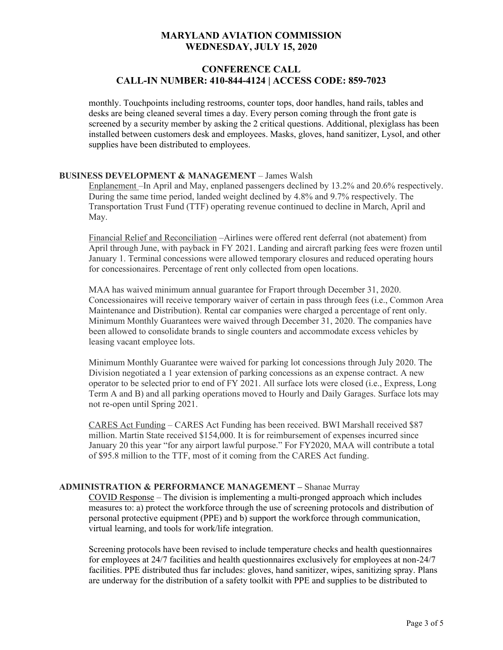## **CONFERENCE CALL CALL-IN NUMBER: 410-844-4124 | ACCESS CODE: 859-7023**

monthly. Touchpoints including restrooms, counter tops, door handles, hand rails, tables and desks are being cleaned several times a day. Every person coming through the front gate is screened by a security member by asking the 2 critical questions. Additional, plexiglass has been installed between customers desk and employees. Masks, gloves, hand sanitizer, Lysol, and other supplies have been distributed to employees.

### **BUSINESS DEVELOPMENT & MANAGEMENT** – James Walsh

Enplanement –In April and May, enplaned passengers declined by 13.2% and 20.6% respectively. During the same time period, landed weight declined by 4.8% and 9.7% respectively. The Transportation Trust Fund (TTF) operating revenue continued to decline in March, April and May.

Financial Relief and Reconciliation –Airlines were offered rent deferral (not abatement) from April through June, with payback in FY 2021. Landing and aircraft parking fees were frozen until January 1. Terminal concessions were allowed temporary closures and reduced operating hours for concessionaires. Percentage of rent only collected from open locations.

MAA has waived minimum annual guarantee for Fraport through December 31, 2020. Concessionaires will receive temporary waiver of certain in pass through fees (i.e., Common Area Maintenance and Distribution). Rental car companies were charged a percentage of rent only. Minimum Monthly Guarantees were waived through December 31, 2020. The companies have been allowed to consolidate brands to single counters and accommodate excess vehicles by leasing vacant employee lots.

Minimum Monthly Guarantee were waived for parking lot concessions through July 2020. The Division negotiated a 1 year extension of parking concessions as an expense contract. A new operator to be selected prior to end of FY 2021. All surface lots were closed (i.e., Express, Long Term A and B) and all parking operations moved to Hourly and Daily Garages. Surface lots may not re-open until Spring 2021.

CARES Act Funding – CARES Act Funding has been received. BWI Marshall received \$87 million. Martin State received \$154,000. It is for reimbursement of expenses incurred since January 20 this year "for any airport lawful purpose." For FY2020, MAA will contribute a total of \$95.8 million to the TTF, most of it coming from the CARES Act funding.

### **ADMINISTRATION & PERFORMANCE MANAGEMENT –** Shanae Murray

COVID Response – The division is implementing a multi-pronged approach which includes measures to: a) protect the workforce through the use of screening protocols and distribution of personal protective equipment (PPE) and b) support the workforce through communication, virtual learning, and tools for work/life integration.

Screening protocols have been revised to include temperature checks and health questionnaires for employees at 24/7 facilities and health questionnaires exclusively for employees at non-24/7 facilities. PPE distributed thus far includes: gloves, hand sanitizer, wipes, sanitizing spray. Plans are underway for the distribution of a safety toolkit with PPE and supplies to be distributed to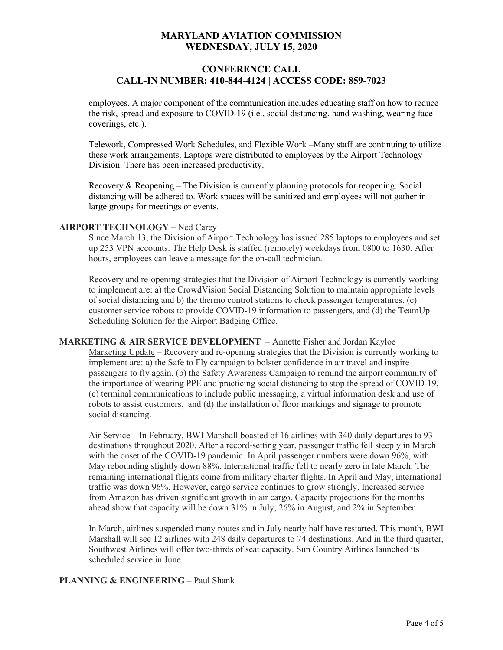# **CONFERENCE CALL CALL-IN NUMBER: 410-844-4124 | ACCESS CODE: 859-7023**

employees. A major component of the communication includes educating staff on how to reduce the risk, spread and exposure to COVID-19 (i.e., social distancing, hand washing, wearing face coverings, etc.).

Telework, Compressed Work Schedules, and Flexible Work –Many staff are continuing to utilize these work arrangements. Laptops were distributed to employees by the Airport Technology Division. There has been increased productivity.

Recovery & Reopening – The Division is currently planning protocols for reopening. Social distancing will be adhered to. Work spaces will be sanitized and employees will not gather in large groups for meetings or events.

### **AIRPORT TECHNOLOGY** – Ned Carey

Since March 13, the Division of Airport Technology has issued 285 laptops to employees and set up 253 VPN accounts. The Help Desk is staffed (remotely) weekdays from 0800 to 1630. After hours, employees can leave a message for the on-call technician.

Recovery and re-opening strategies that the Division of Airport Technology is currently working to implement are: a) the CrowdVision Social Distancing Solution to maintain appropriate levels of social distancing and b) the thermo control stations to check passenger temperatures, (c) customer service robots to provide COVID-19 information to passengers, and (d) the TeamUp Scheduling Solution for the Airport Badging Office.

**MARKETING & AIR SERVICE DEVELOPMENT** – Annette Fisher and Jordan Kayloe Marketing Update – Recovery and re-opening strategies that the Division is currently working to implement are: a) the Safe to Fly campaign to bolster confidence in air travel and inspire passengers to fly again, (b) the Safety Awareness Campaign to remind the airport community of the importance of wearing PPE and practicing social distancing to stop the spread of COVID-19, (c) terminal communications to include public messaging, a virtual information desk and use of robots to assist customers, and (d) the installation of floor markings and signage to promote social distancing.

Air Service – In February, BWI Marshall boasted of 16 airlines with 340 daily departures to 93 destinations throughout 2020. After a record-setting year, passenger traffic fell steeply in March with the onset of the COVID-19 pandemic. In April passenger numbers were down 96%, with May rebounding slightly down 88%. International traffic fell to nearly zero in late March. The remaining international flights come from military charter flights. In April and May, international traffic was down 96%. However, cargo service continues to grow strongly. Increased service from Amazon has driven significant growth in air cargo. Capacity projections for the months ahead show that capacity will be down 31% in July, 26% in August, and 2% in September.

In March, airlines suspended many routes and in July nearly half have restarted. This month, BWI Marshall will see 12 airlines with 248 daily departures to 74 destinations. And in the third quarter, Southwest Airlines will offer two-thirds of seat capacity. Sun Country Airlines launched its scheduled service in June.

### **PLANNING & ENGINEERING – Paul Shank**